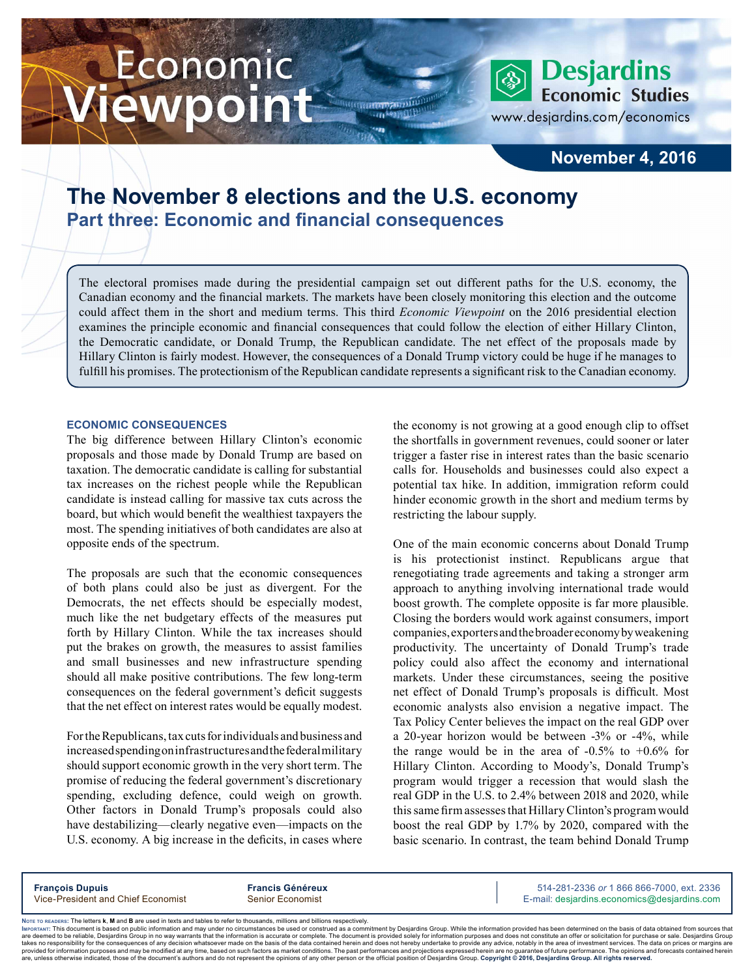# Economic ewpoint

**Economic Studies** www.desjardins.com/economics

### **November 4, 2016**

**Desjardins** 

## **The November 8 elections and the U.S. economy Part three: Economic and financial consequences**

The electoral promises made during the presidential campaign set out different paths for the U.S. economy, the Canadian economy and the financial markets. The markets have been closely monitoring this election and the outcome could affect them in the short and medium terms. This third *Economic Viewpoint* on the 2016 presidential election examines the principle economic and financial consequences that could follow the election of either Hillary Clinton, the Democratic candidate, or Donald Trump, the Republican candidate. The net effect of the proposals made by Hillary Clinton is fairly modest. However, the consequences of a Donald Trump victory could be huge if he manages to fulfill his promises. The protectionism of the Republican candidate represents a significant risk to the Canadian economy.

#### **ECONOMIC CONSEQUENCES**

The big difference between Hillary Clinton's economic proposals and those made by Donald Trump are based on taxation. The democratic candidate is calling for substantial tax increases on the richest people while the Republican candidate is instead calling for massive tax cuts across the board, but which would benefit the wealthiest taxpayers the most. The spending initiatives of both candidates are also at opposite ends of the spectrum.

The proposals are such that the economic consequences of both plans could also be just as divergent. For the Democrats, the net effects should be especially modest, much like the net budgetary effects of the measures put forth by Hillary Clinton. While the tax increases should put the brakes on growth, the measures to assist families and small businesses and new infrastructure spending should all make positive contributions. The few long-term consequences on the federal government's deficit suggests that the net effect on interest rates would be equally modest.

For the Republicans, tax cuts for individuals and business and increased spending on infrastructures and the federal military should support economic growth in the very short term. The promise of reducing the federal government's discretionary spending, excluding defence, could weigh on growth. Other factors in Donald Trump's proposals could also have destabilizing—clearly negative even—impacts on the U.S. economy. A big increase in the deficits, in cases where the economy is not growing at a good enough clip to offset the shortfalls in government revenues, could sooner or later trigger a faster rise in interest rates than the basic scenario calls for. Households and businesses could also expect a potential tax hike. In addition, immigration reform could hinder economic growth in the short and medium terms by restricting the labour supply.

One of the main economic concerns about Donald Trump is his protectionist instinct. Republicans argue that renegotiating trade agreements and taking a stronger arm approach to anything involving international trade would boost growth. The complete opposite is far more plausible. Closing the borders would work against consumers, import companies, exporters and the broader economy by weakening productivity. The uncertainty of Donald Trump's trade policy could also affect the economy and international markets. Under these circumstances, seeing the positive net effect of Donald Trump's proposals is difficult. Most economic analysts also envision a negative impact. The Tax Policy Center believes the impact on the real GDP over a 20-year horizon would be between -3% or -4%, while the range would be in the area of  $-0.5\%$  to  $+0.6\%$  for Hillary Clinton. According to Moody's, Donald Trump's program would trigger a recession that would slash the real GDP in the U.S. to 2.4% between 2018 and 2020, while this same firm assesses that HillaryClinton's program would boost the real GDP by 1.7% by 2020, compared with the basic scenario. In contrast, the team behind Donald Trump

**François Dupuis Francis Généreux** 514-281-2336 *or* 1 866 866-7000, ext. 2336 Vice-President and Chief Economist Senior Economist Senior Economist E-mail: desjardins.economics@desjardins.com

Noте то келоекs: The letters **k, M** and **B** are used in texts and tables to refer to thousands, millions and billions respectively.<br>Імроктлит: This document is based on public information and may under no circumstances be are deemed to be reliable. Desiardins Group in no way warrants that the information is accurate or complete. The document is provided solely for information purposes and does not constitute an offer or solicitation for pur takes no responsibility for the consequences of any decision whatsoever made on the basis of the data contained herein and does not hereby undertake to provide any advice, notably in the area of investment services. The da .<br>are, unless otherwise indicated, those of the document's authors and do not represent the opinions of any other person or the official position of Desjardins Group. Copyright @ 2016, Desjardins Group. All rights reserved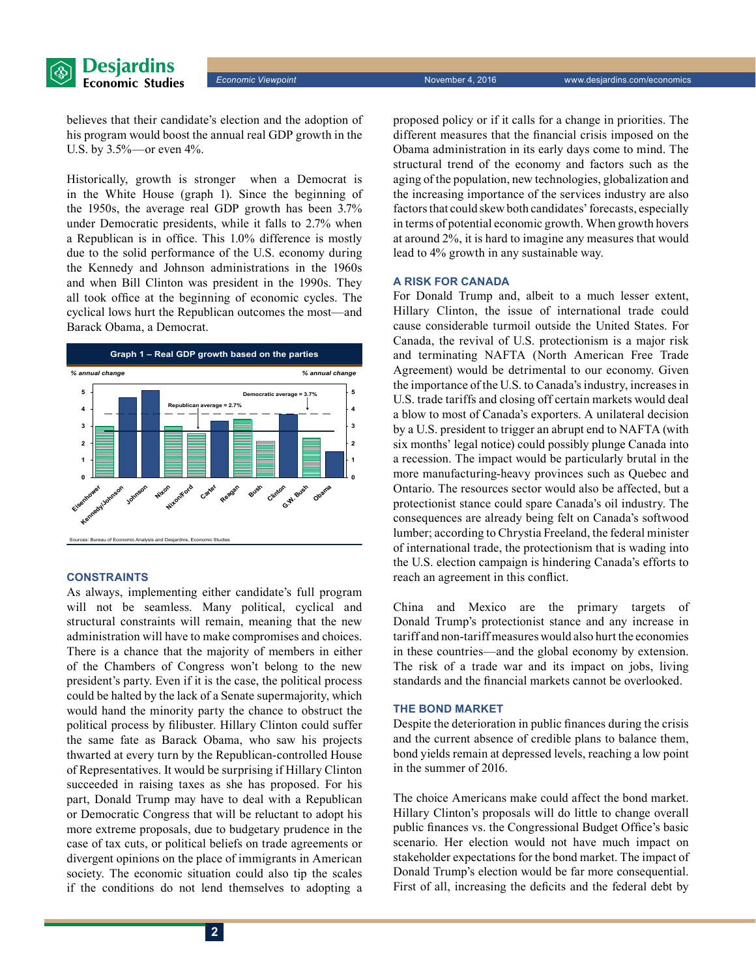

believes that their candidate's election and the adoption of his program would boost the annual real GDP growth in the U.S. by 3.5%—or even 4%.

Historically, growth is stronger when a Democrat is in the White House (graph 1). Since the beginning of the 1950s, the average real GDP growth has been 3.7% under Democratic presidents, while it falls to 2.7% when a Republican is in office. This 1.0% difference is mostly due to the solid performance of the U.S. economy during the Kennedy and Johnson administrations in the 1960s and when Bill Clinton was president in the 1990s. They all took office at the beginning of economic cycles. The cyclical lows hurt the Republican outcomes the most—and Barack Obama, a Democrat.



#### **CONSTRAINTS**

As always, implementing either candidate's full program will not be seamless. Many political, cyclical and structural constraints will remain, meaning that the new administration will have to make compromises and choices. There is a chance that the majority of members in either of the Chambers of Congress won't belong to the new president's party. Even if it is the case, the political process could be halted by the lack of a Senate supermajority, which would hand the minority party the chance to obstruct the political process by filibuster. Hillary Clinton could suffer the same fate as Barack Obama, who saw his projects thwarted at every turn by the Republican-controlled House of Representatives. It would be surprising if Hillary Clinton succeeded in raising taxes as she has proposed. For his part, Donald Trump may have to deal with a Republican or Democratic Congress that will be reluctant to adopt his more extreme proposals, due to budgetary prudence in the case of tax cuts, or political beliefs on trade agreements or divergent opinions on the place of immigrants in American society. The economic situation could also tip the scales if the conditions do not lend themselves to adopting a

proposed policy or if it calls for a change in priorities. The different measures that the financial crisis imposed on the Obama administration in its early days come to mind. The structural trend of the economy and factors such as the aging of the population, new technologies, globalization and the increasing importance of the services industry are also factors that could skew both candidates' forecasts, especially in terms of potential economic growth. When growth hovers at around 2%, it is hard to imagine any measures that would lead to 4% growth in any sustainable way.

#### **A RISK FOR CANADA**

For Donald Trump and, albeit to a much lesser extent, Hillary Clinton, the issue of international trade could cause considerable turmoil outside the United States. For Canada, the revival of U.S. protectionism is a major risk and terminating NAFTA (North American Free Trade Agreement) would be detrimental to our economy. Given the importance of the U.S. to Canada'sindustry, increases in U.S. trade tariffs and closing off certain markets would deal a blow to most of Canada's exporters. A unilateral decision by a U.S. president to trigger an abrupt end to NAFTA (with six months' legal notice) could possibly plunge Canada into a recession. The impact would be particularly brutal in the more manufacturing-heavy provinces such as Quebec and Ontario. The resources sector would also be affected, but a protectionist stance could spare Canada's oil industry. The consequences are already being felt on Canada's softwood lumber; according to Chrystia Freeland, the federal minister of international trade, the protectionism that is wading into the U.S. election campaign is hindering Canada's efforts to reach an agreement in this conflict.

China and Mexico are the primary targets of Donald Trump's protectionist stance and any increase in tariff and non-tariff measures would also hurt the economies in these countries—and the global economy by extension. The risk of a trade war and its impact on jobs, living standards and the financial markets cannot be overlooked.

#### **THE BOND MARKET**

Despite the deterioration in public finances during the crisis and the current absence of credible plans to balance them, bond yields remain at depressed levels, reaching a low point in the summer of 2016.

The choice Americans make could affect the bond market. Hillary Clinton's proposals will do little to change overall public finances vs. the Congressional Budget Office's basic scenario. Her election would not have much impact on stakeholder expectations for the bond market. The impact of Donald Trump's election would be far more consequential. First of all, increasing the deficits and the federal debt by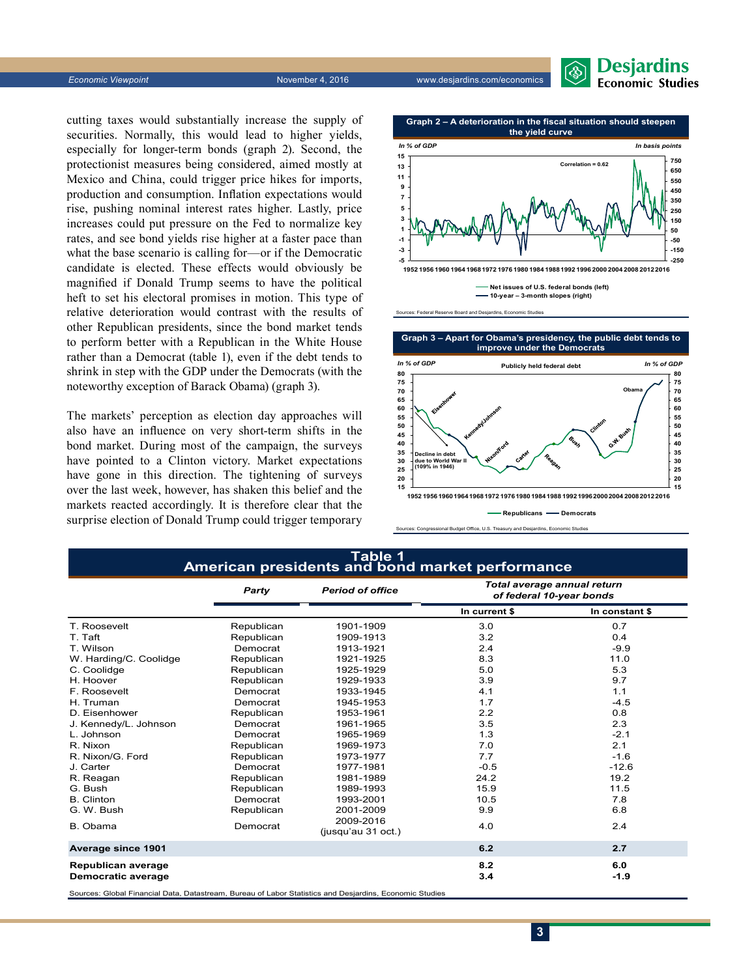cutting taxes would substantially increase the supply of securities. Normally, this would lead to higher yields, especially for longer-term bonds (graph 2). Second, the protectionist measures being considered, aimed mostly at Mexico and China, could trigger price hikes for imports, production and consumption. Inflation expectations would rise, pushing nominal interest rates higher. Lastly, price increases could put pressure on the Fed to normalize key rates, and see bond yields rise higher at a faster pace than what the base scenario is calling for—or if the Democratic candidate is elected. These effects would obviously be magnified if Donald Trump seems to have the political heft to set his electoral promises in motion. This type of relative deterioration would contrast with the results of other Republican presidents, since the bond market tends to perform better with a Republican in the White House rather than a Democrat (table 1), even if the debt tends to

The markets' perception as election day approaches will also have an influence on very short-term shifts in the bond market. During most of the campaign, the surveys have pointed to a Clinton victory. Market expectations have gone in this direction. The tightening of surveys over the last week, however, has shaken this belief and the markets reacted accordingly. It is therefore clear that the surprise election of Donald Trump could trigger temporary

# shrink in step with the GDP under the Democrats (with the noteworthy exception of Barack Obama) (graph 3).



**Desjardins Economic Studies** 

**improve under the Democrats 15 20 25 30 35 40 45 50 55 60 65 70 75 80 1952 19561960196419681972 1976198019841988 1992199620002004 200820122016** *In % of GDP* **15 20 25 30 35 40 45 50 55 60 65 70 75 80** *In % of GDP* **Publicly held federal debt** in debt<br>Vorld Wa **due to W (109% in 1946) Obama**

**Republicans — Democrats** 

**Graph 3 – Apart for Obama's presidency, the public debt tends to** 

et Office, U.S. Treasury and Desiardins, Economic

|                        | Party      | <b>Period of office</b>         | Total average annual return<br>of federal 10-year bonds |                |  |
|------------------------|------------|---------------------------------|---------------------------------------------------------|----------------|--|
|                        |            |                                 | In current \$                                           | In constant \$ |  |
| T. Roosevelt           | Republican | 1901-1909                       | 3.0                                                     | 0.7            |  |
| T. Taft                | Republican | 1909-1913                       | 3.2                                                     | 0.4            |  |
| T. Wilson              | Democrat   | 1913-1921                       | 2.4                                                     | $-9.9$         |  |
| W. Harding/C. Coolidge | Republican | 1921-1925                       | 8.3                                                     | 11.0           |  |
| C. Coolidge            | Republican | 1925-1929                       | 5.0                                                     | 5.3            |  |
| H. Hoover              | Republican | 1929-1933                       | 3.9                                                     | 9.7            |  |
| F. Roosevelt           | Democrat   | 1933-1945                       | 4.1                                                     | 1.1            |  |
| H. Truman              | Democrat   | 1945-1953                       | 1.7                                                     | $-4.5$         |  |
| D. Eisenhower          | Republican | 1953-1961                       | 2.2                                                     | 0.8            |  |
| J. Kennedy/L. Johnson  | Democrat   | 1961-1965                       | 3.5                                                     | 2.3            |  |
| L. Johnson             | Democrat   | 1965-1969                       | 1.3                                                     | $-2.1$         |  |
| R. Nixon               | Republican | 1969-1973                       | 7.0                                                     | 2.1            |  |
| R. Nixon/G. Ford       | Republican | 1973-1977                       | 7.7                                                     | $-1.6$         |  |
| J. Carter              | Democrat   | 1977-1981                       | $-0.5$                                                  | $-12.6$        |  |
| R. Reagan              | Republican | 1981-1989                       | 24.2                                                    | 19.2           |  |
| G. Bush                | Republican | 1989-1993                       | 15.9                                                    | 11.5           |  |
| <b>B.</b> Clinton      | Democrat   | 1993-2001                       | 10.5                                                    | 7.8            |  |
| G. W. Bush             | Republican | 2001-2009                       | 9.9                                                     | 6.8            |  |
| B. Obama               | Democrat   | 2009-2016<br>(jusqu'au 31 oct.) | 4.0                                                     | 2.4            |  |
| Average since 1901     |            |                                 | 6.2                                                     | 2.7            |  |
| Republican average     |            |                                 | 8.2                                                     | 6.0            |  |
| Democratic average     |            |                                 | 3.4                                                     | $-1.9$         |  |

**Table 1**

Sources: Federal Reserve Board and Desjardins, Economic Studies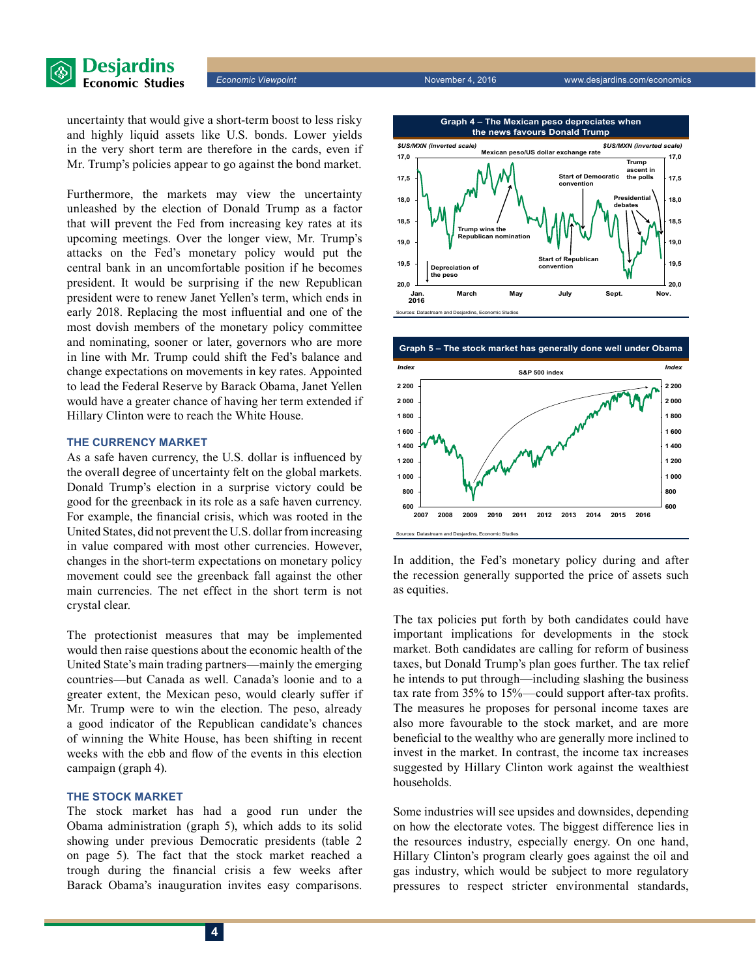

uncertainty that would give a short-term boost to less risky and highly liquid assets like U.S. bonds. Lower yields in the very short term are therefore in the cards, even if Mr. Trump's policies appear to go against the bond market.

Furthermore, the markets may view the uncertainty unleashed by the election of Donald Trump as a factor that will prevent the Fed from increasing key rates at its upcoming meetings. Over the longer view, Mr. Trump's attacks on the Fed's monetary policy would put the central bank in an uncomfortable position if he becomes president. It would be surprising if the new Republican president were to renew Janet Yellen's term, which ends in early 2018. Replacing the most influential and one of the most dovish members of the monetary policy committee and nominating, sooner or later, governors who are more in line with Mr. Trump could shift the Fed's balance and change expectations on movements in key rates. Appointed to lead the Federal Reserve by Barack Obama, Janet Yellen would have a greater chance of having her term extended if Hillary Clinton were to reach the White House.

#### **THE CURRENCY MARKET**

As a safe haven currency, the U.S. dollar is influenced by the overall degree of uncertainty felt on the global markets. Donald Trump's election in a surprise victory could be good for the greenback in its role as a safe haven currency. For example, the financial crisis, which was rooted in the United States, did not prevent the U.S. dollar from increasing in value compared with most other currencies. However, changes in the short-term expectations on monetary policy movement could see the greenback fall against the other main currencies. The net effect in the short term is not crystal clear.

The protectionist measures that may be implemented would then raise questions about the economic health of the United State's main trading partners—mainly the emerging countries—but Canada as well. Canada's loonie and to a greater extent, the Mexican peso, would clearly suffer if Mr. Trump were to win the election. The peso, already a good indicator of the Republican candidate's chances of winning the White House, has been shifting in recent weeks with the ebb and flow of the events in this election campaign (graph 4).

#### **THE STOCK MARKET**

The stock market has had a good run under the Obama administration (graph 5), which adds to its solid showing under previous Democratic presidents (table 2 on page 5). The fact that the stock market reached a trough during the financial crisis a few weeks after Barack Obama's inauguration invites easy comparisons.





In addition, the Fed's monetary policy during and after the recession generally supported the price of assets such as equities.

The tax policies put forth by both candidates could have important implications for developments in the stock market. Both candidates are calling for reform of business taxes, but Donald Trump's plan goes further. The tax relief he intends to put through—including slashing the business tax rate from 35% to 15%—could support after-tax profits. The measures he proposes for personal income taxes are also more favourable to the stock market, and are more beneficial to the wealthy who are generally more inclined to invest in the market. In contrast, the income tax increases suggested by Hillary Clinton work against the wealthiest households.

Some industries will see upsides and downsides, depending on how the electorate votes. The biggest difference lies in the resources industry, especially energy. On one hand, Hillary Clinton's program clearly goes against the oil and gas industry, which would be subject to more regulatory pressures to respect stricter environmental standards,